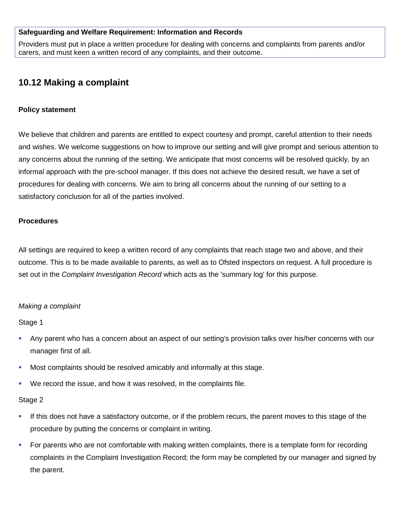### **Safeguarding and Welfare Requirement: Information and Records**

Providers must put in place a written procedure for dealing with concerns and complaints from parents and/or carers, and must keen a written record of any complaints, and their outcome.

# **10.12 Making a complaint**

#### **Policy statement**

We believe that children and parents are entitled to expect courtesy and prompt, careful attention to their needs and wishes. We welcome suggestions on how to improve our setting and will give prompt and serious attention to any concerns about the running of the setting. We anticipate that most concerns will be resolved quickly, by an informal approach with the pre-school manager. If this does not achieve the desired result, we have a set of procedures for dealing with concerns. We aim to bring all concerns about the running of our setting to a satisfactory conclusion for all of the parties involved.

#### **Procedures**

All settings are required to keep a written record of any complaints that reach stage two and above, and their outcome. This is to be made available to parents, as well as to Ofsted inspectors on request. A full procedure is set out in the *Complaint Investigation Record* which acts as the 'summary log' for this purpose.

#### *Making a complaint*

Stage 1

- Any parent who has a concern about an aspect of our setting's provision talks over his/her concerns with our manager first of all.
- Most complaints should be resolved amicably and informally at this stage.
- We record the issue, and how it was resolved, in the complaints file.

#### Stage 2

- If this does not have a satisfactory outcome, or if the problem recurs, the parent moves to this stage of the procedure by putting the concerns or complaint in writing.
- For parents who are not comfortable with making written complaints, there is a template form for recording complaints in the Complaint Investigation Record; the form may be completed by our manager and signed by the parent.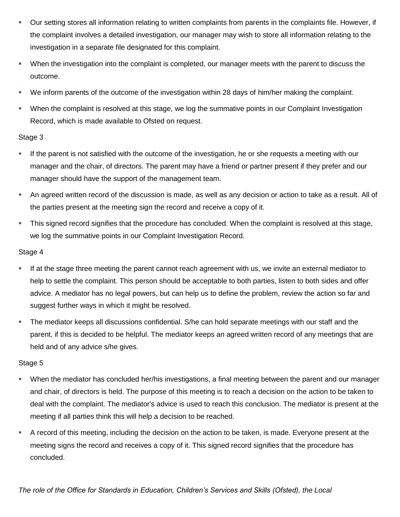- Our setting stores all information relating to written complaints from parents in the complaints file. However, if the complaint involves a detailed investigation, our manager may wish to store all information relating to the investigation in a separate file designated for this complaint.
- When the investigation into the complaint is completed, our manager meets with the parent to discuss the outcome.
- We inform parents of the outcome of the investigation within 28 days of him/her making the complaint.
- When the complaint is resolved at this stage, we log the summative points in our Complaint Investigation Record, which is made available to Ofsted on request.

### Stage 3

- If the parent is not satisfied with the outcome of the investigation, he or she requests a meeting with our manager and the chair, of directors. The parent may have a friend or partner present if they prefer and our manager should have the support of the management team.
- An agreed written record of the discussion is made, as well as any decision or action to take as a result. All of the parties present at the meeting sign the record and receive a copy of it.
- This signed record signifies that the procedure has concluded. When the complaint is resolved at this stage, we log the summative points in our Complaint Investigation Record.

### Stage 4

- If at the stage three meeting the parent cannot reach agreement with us, we invite an external mediator to help to settle the complaint. This person should be acceptable to both parties, listen to both sides and offer advice. A mediator has no legal powers, but can help us to define the problem, review the action so far and suggest further ways in which it might be resolved.
- The mediator keeps all discussions confidential. S/he can hold separate meetings with our staff and the parent, if this is decided to be helpful. The mediator keeps an agreed written record of any meetings that are held and of any advice s/he gives.

## Stage 5

- When the mediator has concluded her/his investigations, a final meeting between the parent and our manager and chair, of directors is held. The purpose of this meeting is to reach a decision on the action to be taken to deal with the complaint. The mediator's advice is used to reach this conclusion. The mediator is present at the meeting if all parties think this will help a decision to be reached.
- A record of this meeting, including the decision on the action to be taken, is made. Everyone present at the meeting signs the record and receives a copy of it. This signed record signifies that the procedure has concluded.